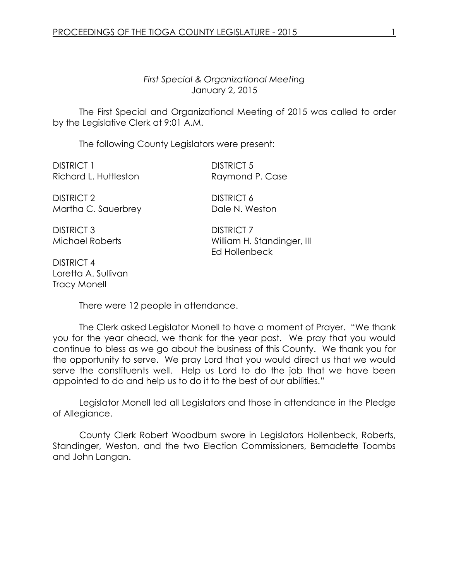*First Special & Organizational Meeting* January 2, 2015

The First Special and Organizational Meeting of 2015 was called to order by the Legislative Clerk at 9:01 A.M.

The following County Legislators were present:

DISTRICT 1 DISTRICT 5 Richard L. Huttleston Raymond P. Case

DISTRICT 2 DISTRICT 6 Martha C. Sauerbrey Dale N. Weston

DISTRICT 3 DISTRICT 7

Michael Roberts **William H. Standinger, III** Ed Hollenbeck

DISTRICT 4 Loretta A. Sullivan Tracy Monell

There were 12 people in attendance.

The Clerk asked Legislator Monell to have a moment of Prayer. "We thank you for the year ahead, we thank for the year past. We pray that you would continue to bless as we go about the business of this County. We thank you for the opportunity to serve. We pray Lord that you would direct us that we would serve the constituents well. Help us Lord to do the job that we have been appointed to do and help us to do it to the best of our abilities."

Legislator Monell led all Legislators and those in attendance in the Pledge of Allegiance.

County Clerk Robert Woodburn swore in Legislators Hollenbeck, Roberts, Standinger, Weston, and the two Election Commissioners, Bernadette Toombs and John Langan.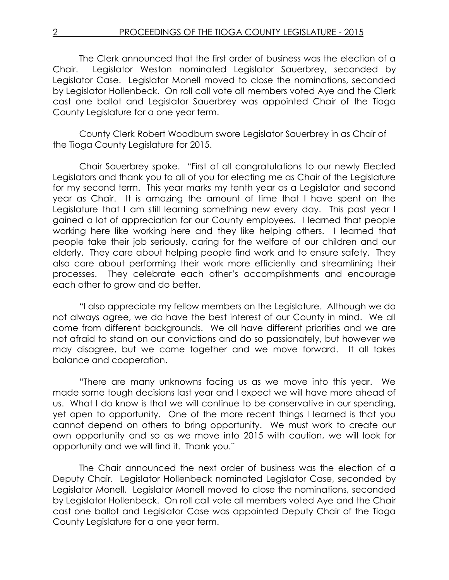The Clerk announced that the first order of business was the election of a Chair. Legislator Weston nominated Legislator Sauerbrey, seconded by Legislator Case. Legislator Monell moved to close the nominations, seconded by Legislator Hollenbeck. On roll call vote all members voted Aye and the Clerk cast one ballot and Legislator Sauerbrey was appointed Chair of the Tioga County Legislature for a one year term.

County Clerk Robert Woodburn swore Legislator Sauerbrey in as Chair of the Tioga County Legislature for 2015.

Chair Sauerbrey spoke. "First of all congratulations to our newly Elected Legislators and thank you to all of you for electing me as Chair of the Legislature for my second term. This year marks my tenth year as a Legislator and second year as Chair. It is amazing the amount of time that I have spent on the Legislature that I am still learning something new every day. This past year I gained a lot of appreciation for our County employees. I learned that people working here like working here and they like helping others. I learned that people take their job seriously, caring for the welfare of our children and our elderly. They care about helping people find work and to ensure safety. They also care about performing their work more efficiently and streamlining their processes. They celebrate each other's accomplishments and encourage each other to grow and do better.

"I also appreciate my fellow members on the Legislature. Although we do not always agree, we do have the best interest of our County in mind. We all come from different backgrounds. We all have different priorities and we are not afraid to stand on our convictions and do so passionately, but however we may disagree, but we come together and we move forward. It all takes balance and cooperation.

"There are many unknowns facing us as we move into this year. We made some tough decisions last year and I expect we will have more ahead of us. What I do know is that we will continue to be conservative in our spending, yet open to opportunity. One of the more recent things I learned is that you cannot depend on others to bring opportunity. We must work to create our own opportunity and so as we move into 2015 with caution, we will look for opportunity and we will find it. Thank you."

The Chair announced the next order of business was the election of a Deputy Chair. Legislator Hollenbeck nominated Legislator Case, seconded by Legislator Monell. Legislator Monell moved to close the nominations, seconded by Legislator Hollenbeck. On roll call vote all members voted Aye and the Chair cast one ballot and Legislator Case was appointed Deputy Chair of the Tioga County Legislature for a one year term.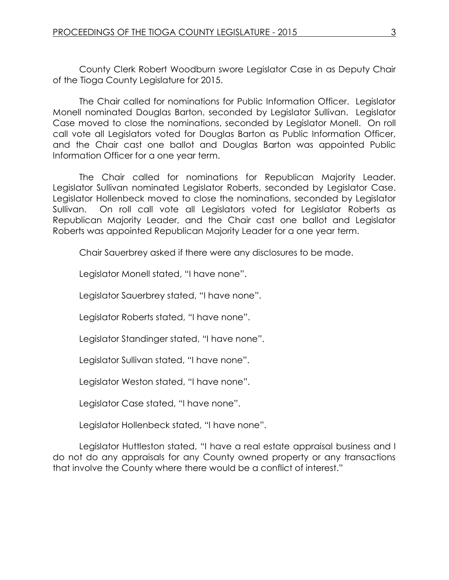County Clerk Robert Woodburn swore Legislator Case in as Deputy Chair of the Tioga County Legislature for 2015.

The Chair called for nominations for Public Information Officer. Legislator Monell nominated Douglas Barton, seconded by Legislator Sullivan. Legislator Case moved to close the nominations, seconded by Legislator Monell. On roll call vote all Legislators voted for Douglas Barton as Public Information Officer, and the Chair cast one ballot and Douglas Barton was appointed Public Information Officer for a one year term.

The Chair called for nominations for Republican Majority Leader. Legislator Sullivan nominated Legislator Roberts, seconded by Legislator Case. Legislator Hollenbeck moved to close the nominations, seconded by Legislator Sullivan. On roll call vote all Legislators voted for Legislator Roberts as Republican Majority Leader, and the Chair cast one ballot and Legislator Roberts was appointed Republican Majority Leader for a one year term.

Chair Sauerbrey asked if there were any disclosures to be made.

Legislator Monell stated, "I have none".

Legislator Sauerbrey stated, "I have none".

Legislator Roberts stated, "I have none".

Legislator Standinger stated, "I have none".

Legislator Sullivan stated, "I have none".

Legislator Weston stated, "I have none".

Legislator Case stated, "I have none".

Legislator Hollenbeck stated, "I have none".

Legislator Huttleston stated, "I have a real estate appraisal business and I do not do any appraisals for any County owned property or any transactions that involve the County where there would be a conflict of interest."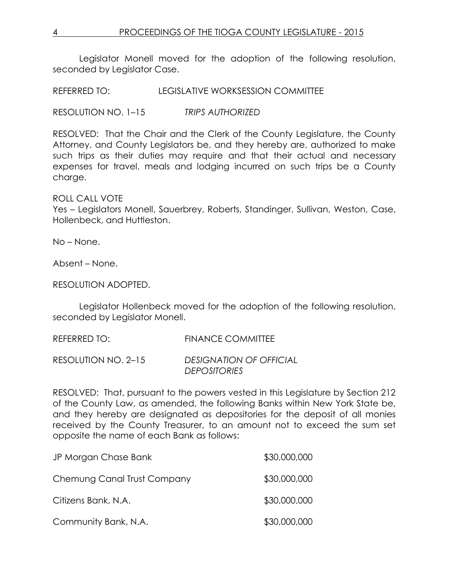Legislator Monell moved for the adoption of the following resolution, seconded by Leaislator Case.

REFERRED TO: LEGISLATIVE WORKSESSION COMMITTEE

RESOLUTION NO. 1–15 *TRIPS AUTHORIZED*

RESOLVED: That the Chair and the Clerk of the County Legislature, the County Attorney, and County Legislators be, and they hereby are, authorized to make such trips as their duties may require and that their actual and necessary expenses for travel, meals and lodging incurred on such trips be a County charge.

## ROLL CALL VOTE

Yes – Legislators Monell, Sauerbrey, Roberts, Standinger, Sullivan, Weston, Case, Hollenbeck, and Huttleston.

No – None.

Absent – None.

RESOLUTION ADOPTED.

Legislator Hollenbeck moved for the adoption of the following resolution, seconded by Legislator Monell.

REFERRED TO: FINANCE COMMITTEE RESOLUTION NO. 2–15 *DESIGNATION OF OFFICIAL DEPOSITORIES*

RESOLVED: That, pursuant to the powers vested in this Legislature by Section 212 of the County Law, as amended, the following Banks within New York State be, and they hereby are designated as depositories for the deposit of all monies received by the County Treasurer, to an amount not to exceed the sum set opposite the name of each Bank as follows:

| JP Morgan Chase Bank        | \$30,000,000 |
|-----------------------------|--------------|
| Chemung Canal Trust Company | \$30,000,000 |
| Citizens Bank, N.A.         | \$30,000,000 |
| Community Bank, N.A.        | \$30,000,000 |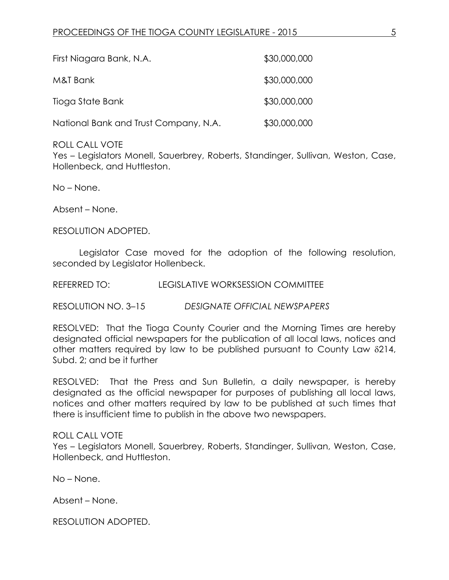| First Niagara Bank, N.A.              | \$30,000,000 |
|---------------------------------------|--------------|
| M&T Bank                              | \$30,000,000 |
| Tioga State Bank                      | \$30,000,000 |
| National Bank and Trust Company, N.A. | \$30,000,000 |

### ROLL CALL VOTE

Yes – Legislators Monell, Sauerbrey, Roberts, Standinger, Sullivan, Weston, Case, Hollenbeck, and Huttleston.

No – None.

Absent – None.

RESOLUTION ADOPTED.

Legislator Case moved for the adoption of the following resolution, seconded by Legislator Hollenbeck.

REFERRED TO: LEGISLATIVE WORKSESSION COMMITTEE

RESOLUTION NO. 3–15 *DESIGNATE OFFICIAL NEWSPAPERS*

RESOLVED: That the Tioga County Courier and the Morning Times are hereby designated official newspapers for the publication of all local laws, notices and other matters required by law to be published pursuant to County Law  $\delta$ 214, Subd. 2; and be it further

RESOLVED: That the Press and Sun Bulletin, a daily newspaper, is hereby designated as the official newspaper for purposes of publishing all local laws, notices and other matters required by law to be published at such times that there is insufficient time to publish in the above two newspapers.

#### ROLL CALL VOTE

Yes – Legislators Monell, Sauerbrey, Roberts, Standinger, Sullivan, Weston, Case, Hollenbeck, and Huttleston.

No – None.

Absent – None.

RESOLUTION ADOPTED.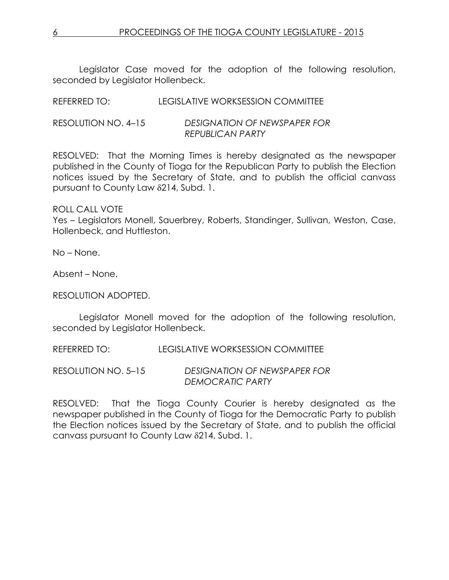Legislator Case moved for the adoption of the following resolution, seconded by Legislator Hollenbeck.

| REFERRED TO:        | LEGISLATIVE WORKSESSION COMMITTEE   |
|---------------------|-------------------------------------|
| RESOLUTION NO. 4–15 | <b>DESIGNATION OF NEWSPAPER FOR</b> |

RESOLVED: That the Morning Times is hereby designated as the newspaper published in the County of Tioga for the Republican Party to publish the Election notices issued by the Secretary of State, and to publish the official canvass pursuant to County Law 214, Subd. 1.

*REPUBLICAN PARTY*

ROLL CALL VOTE

Yes – Legislators Monell, Sauerbrey, Roberts, Standinger, Sullivan, Weston, Case, Hollenbeck, and Huttleston.

No – None.

Absent – None.

RESOLUTION ADOPTED.

Legislator Monell moved for the adoption of the following resolution, seconded by Legislator Hollenbeck.

REFERRED TO: LEGISLATIVE WORKSESSION COMMITTEE

RESOLUTION NO. 5–15 *DESIGNATION OF NEWSPAPER FOR DEMOCRATIC PARTY*

RESOLVED: That the Tioga County Courier is hereby designated as the newspaper published in the County of Tioga for the Democratic Party to publish the Election notices issued by the Secretary of State, and to publish the official canvass pursuant to County Law 8214, Subd. 1.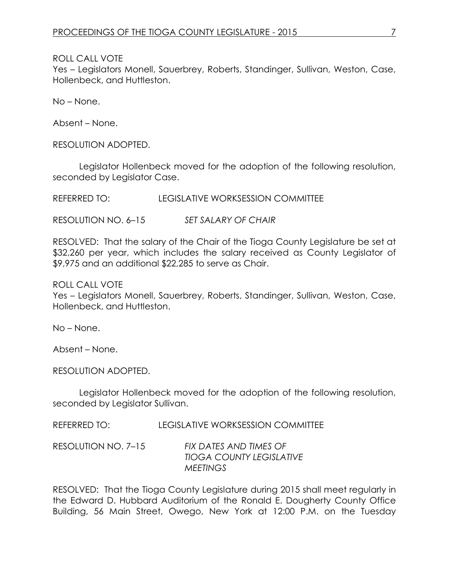ROLL CALL VOTE

Yes – Legislators Monell, Sauerbrey, Roberts, Standinger, Sullivan, Weston, Case, Hollenbeck, and Huttleston.

No – None.

Absent – None.

RESOLUTION ADOPTED.

Legislator Hollenbeck moved for the adoption of the following resolution, seconded by Legislator Case.

REFERRED TO: LEGISLATIVE WORKSESSION COMMITTEE

RESOLUTION NO. 6–15 *SET SALARY OF CHAIR*

RESOLVED: That the salary of the Chair of the Tioga County Legislature be set at \$32,260 per year, which includes the salary received as County Legislator of \$9,975 and an additional \$22,285 to serve as Chair.

ROLL CALL VOTE

Yes – Legislators Monell, Sauerbrey, Roberts, Standinger, Sullivan, Weston, Case, Hollenbeck, and Huttleston.

No – None.

Absent – None.

RESOLUTION ADOPTED.

Legislator Hollenbeck moved for the adoption of the following resolution, seconded by Legislator Sullivan.

REFERRED TO: LEGISLATIVE WORKSESSION COMMITTEE

RESOLUTION NO. 7–15 *FIX DATES AND TIMES OF TIOGA COUNTY LEGISLATIVE MEETINGS*

RESOLVED: That the Tioga County Legislature during 2015 shall meet regularly in the Edward D. Hubbard Auditorium of the Ronald E. Dougherty County Office Building, 56 Main Street, Owego, New York at 12:00 P.M. on the Tuesday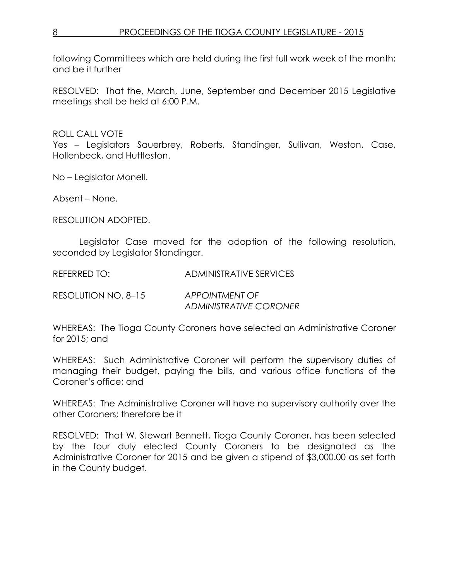following Committees which are held during the first full work week of the month; and be it further

RESOLVED: That the, March, June, September and December 2015 Legislative meetings shall be held at 6:00 P.M.

## ROLL CALL VOTE

Yes – Legislators Sauerbrey, Roberts, Standinger, Sullivan, Weston, Case, Hollenbeck, and Huttleston.

No – Legislator Monell.

Absent – None.

RESOLUTION ADOPTED.

Legislator Case moved for the adoption of the following resolution, seconded by Legislator Standinger.

REFERRED TO: ADMINISTRATIVE SERVICES

RESOLUTION NO. 8–15 *APPOINTMENT OF* 

*ADMINISTRATIVE CORONER*

WHEREAS: The Tioga County Coroners have selected an Administrative Coroner for 2015; and

WHEREAS: Such Administrative Coroner will perform the supervisory duties of managing their budget, paying the bills, and various office functions of the Coroner's office; and

WHEREAS: The Administrative Coroner will have no supervisory authority over the other Coroners; therefore be it

RESOLVED: That W. Stewart Bennett, Tioga County Coroner, has been selected by the four duly elected County Coroners to be designated as the Administrative Coroner for 2015 and be given a stipend of \$3,000.00 as set forth in the County budget.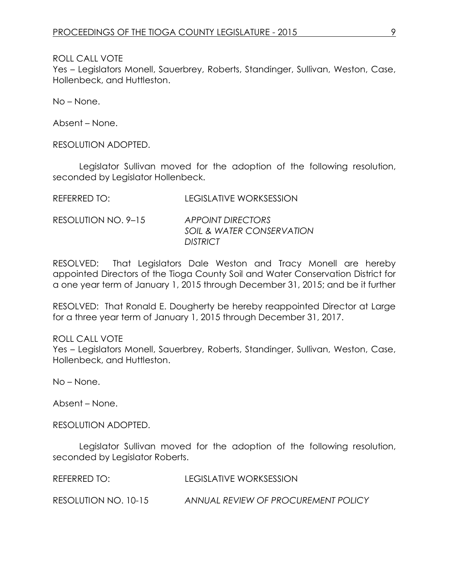ROLL CALL VOTE

Yes – Legislators Monell, Sauerbrey, Roberts, Standinger, Sullivan, Weston, Case, Hollenbeck, and Huttleston.

No – None.

Absent – None.

RESOLUTION ADOPTED.

Legislator Sullivan moved for the adoption of the following resolution, seconded by Legislator Hollenbeck.

REFERRED TO: LEGISLATIVE WORKSESSION

RESOLUTION NO. 9–15 *APPOINT DIRECTORS SOIL & WATER CONSERVATION DISTRICT*

RESOLVED: That Legislators Dale Weston and Tracy Monell are hereby appointed Directors of the Tioga County Soil and Water Conservation District for a one year term of January 1, 2015 through December 31, 2015; and be it further

RESOLVED: That Ronald E. Dougherty be hereby reappointed Director at Large for a three year term of January 1, 2015 through December 31, 2017.

ROLL CALL VOTE Yes – Legislators Monell, Sauerbrey, Roberts, Standinger, Sullivan, Weston, Case, Hollenbeck, and Huttleston.

No – None.

Absent – None.

RESOLUTION ADOPTED.

Legislator Sullivan moved for the adoption of the following resolution, seconded by Legislator Roberts.

REFERRED TO: LEGISLATIVE WORKSESSION

RESOLUTION NO. 10-15 *ANNUAL REVIEW OF PROCUREMENT POLICY*